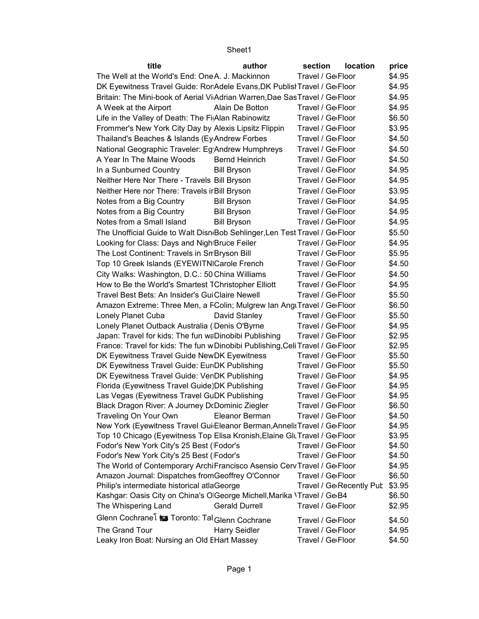## Sheet1

| title                                                                                                                        | author                | section                        | <b>location</b>          | price            |
|------------------------------------------------------------------------------------------------------------------------------|-----------------------|--------------------------------|--------------------------|------------------|
| The Well at the World's End: OneA. J. Mackinnon                                                                              |                       | Travel / Ge <sub>floor</sub>   |                          | \$4.95           |
| DK Eyewitness Travel Guide: RonAdele Evans, DK Publist Travel / GelFloor                                                     |                       |                                |                          | \$4.95           |
| Britain: The Mini-book of Aerial Vi Adrian Warren, Dae Sas Travel / Ge Floor                                                 |                       |                                |                          | \$4.95           |
| A Week at the Airport                                                                                                        | Alain De Botton       | Travel / Ge <sub>I</sub> Floor |                          | \$4.95           |
| Life in the Valley of Death: The Fi Alan Rabinowitz                                                                          |                       | Travel / Ge <sub>Floor</sub>   |                          | \$6.50           |
| Frommer's New York City Day by Alexis Lipsitz Flippin                                                                        |                       | Travel / Ge <sub>Floor</sub>   |                          | \$3.95           |
| Thailand's Beaches & Islands (Ey Andrew Forbes                                                                               |                       | Travel / Ge <sub>Floor</sub>   |                          | \$4.50           |
| National Geographic Traveler: Eg Andrew Humphreys                                                                            |                       | Travel / Ge <sub>'</sub> Floor |                          | \$4.50           |
| A Year In The Maine Woods                                                                                                    | <b>Bernd Heinrich</b> | Travel / Ge <sub>I</sub> Floor |                          | \$4.50           |
| In a Sunburned Country                                                                                                       | <b>Bill Bryson</b>    | Travel / Ge <sub>'</sub> Floor |                          | \$4.95           |
| Neither Here Nor There - Travels Bill Bryson                                                                                 |                       | Travel / Ge <sub>I</sub> Floor |                          | \$4.95           |
| Neither Here nor There: Travels ir Bill Bryson                                                                               |                       | Travel / Ge <sub>Floor</sub>   |                          | \$3.95           |
| Notes from a Big Country                                                                                                     | <b>Bill Bryson</b>    | Travel / Ge <sub>Floor</sub>   |                          | \$4.95           |
| Notes from a Big Country                                                                                                     | <b>Bill Bryson</b>    | Travel / Ge <sub>Floor</sub>   |                          | \$4.95           |
| Notes from a Small Island                                                                                                    | <b>Bill Bryson</b>    | Travel / Ge <sub>'</sub> Floor |                          | \$4.95           |
| The Unofficial Guide to Walt Disn <sub>'</sub> Bob Sehlinger, Len Test Travel / Ge <sub>'</sub> Floor                        |                       |                                |                          | \$5.50           |
| Looking for Class: Days and Nigh Bruce Feiler                                                                                |                       | Travel / Ge <sub>'</sub> Floor |                          | \$4.95           |
| The Lost Continent: Travels in Sn Bryson Bill                                                                                |                       | Travel / Ge <sub>'</sub> Floor |                          | \$5.95           |
| Top 10 Greek Islands (EYEWITNICarole French                                                                                  |                       | Travel / Ge <sub>Floor</sub>   |                          | \$4.50           |
| City Walks: Washington, D.C.: 50 China Williams                                                                              |                       | Travel / Ge <sub>'</sub> Floor |                          | \$4.50           |
| How to Be the World's Smartest TChristopher Elliott                                                                          |                       | Travel / Ge <sub>Floor</sub>   |                          | \$4.95           |
| Travel Best Bets: An Insider's GuiClaire Newell                                                                              |                       | Travel / Ge <sub>Floor</sub>   |                          | \$5.50           |
| Amazon Extreme: Three Men, a FColin; Mulgrew Ian AngrTravel / GerFloor                                                       |                       |                                |                          | \$6.50           |
| Lonely Planet Cuba                                                                                                           | David Stanley         | Travel / Ge <sub>Floor</sub>   |                          | \$5.50           |
| Lonely Planet Outback Australia (Denis O'Byrne                                                                               |                       | Travel / Ge <sub>'</sub> Floor |                          | \$4.95           |
| Japan: Travel for kids: The fun waDinobibi Publishing                                                                        |                       | Travel / Ge <sub>Floor</sub>   |                          | \$2.95           |
| France: Travel for kids: The fun wDinobibi Publishing, Celi Travel / GelFloor                                                |                       |                                |                          | \$2.95           |
| DK Eyewitness Travel Guide NewDK Eyewitness                                                                                  |                       | Travel / Ge <sub>floor</sub>   |                          | \$5.50           |
| DK Eyewitness Travel Guide: Eur <sub>DK</sub> Publishing                                                                     |                       | Travel / Ge <sub>Floor</sub>   |                          | \$5.50           |
| DK Eyewitness Travel Guide: VenDK Publishing                                                                                 |                       | Travel / Ge <sub>Floor</sub>   |                          | \$4.95           |
| Florida (Eyewitness Travel Guide) DK Publishing                                                                              |                       | Travel / Ge <sub>'</sub> Floor |                          | \$4.95           |
| Las Vegas (Eyewitness Travel GuDK Publishing                                                                                 |                       | Travel / Ge <sub>Floor</sub>   |                          | \$4.95           |
| Black Dragon River: A Journey D(Dominic Ziegler                                                                              |                       | Travel / Ge <sub>Floor</sub>   |                          | \$6.50           |
| Traveling On Your Own                                                                                                        | Eleanor Berman        | Travel / Ge <sub>'</sub> Floor |                          | \$4.50           |
| New York (Eyewitness Travel Gui Eleanor Berman, Annelis Travel / Ge Floor                                                    |                       |                                |                          | \$4.95           |
| Top 10 Chicago (Eyewitness Top Elisa Kronish, Elaine GluTravel / GeiFloor                                                    |                       |                                |                          | \$3.95           |
| Fodor's New York City's 25 Best (Fodor's                                                                                     |                       | Travel / Ge <sub>Floor</sub>   |                          | \$4.50           |
| Fodor's New York City's 25 Best (Fodor's                                                                                     |                       | Travel / Ge <sub>Floor</sub>   |                          | \$4.50           |
| The World of Contemporary ArchiFrancisco Asensio Cerv Travel / Ge Floor<br>Amazon Journal: Dispatches from Geoffrey O'Connor |                       | Travel / Ge <sub>Floor</sub>   |                          | \$4.95<br>\$6.50 |
| Philip's intermediate historical atlaGeorge                                                                                  |                       |                                | Travel / Ge Recently Pub | \$3.95           |
| Kashgar: Oasis City on China's O George Michell, Marika \Travel / Ge <sub>'</sub> B4                                         |                       |                                |                          | \$6.50           |
| The Whispering Land                                                                                                          | <b>Gerald Durrell</b> | Travel / Ge <sub>Floor</sub>   |                          | \$2.95           |
| Glenn Cochrane <sup>[</sup> is Toronto: Tal Glenn Cochrane                                                                   |                       | Travel / Ge <sub>'</sub> Floor |                          | \$4.50           |
| The Grand Tour                                                                                                               | <b>Harry Seidler</b>  | Travel / Ge <sub>Floor</sub>   |                          | \$4.95           |
| Leaky Iron Boat: Nursing an Old EHart Massey                                                                                 |                       | Travel / Ge <sub>Floor</sub>   |                          | \$4.50           |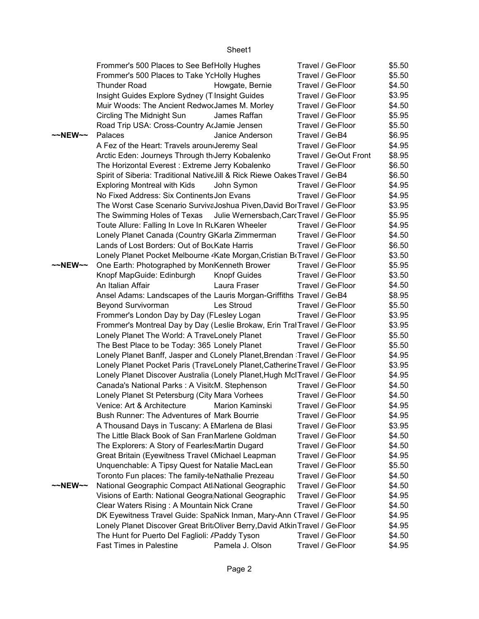|                                                                                                                                                         | Frommer's 500 Places to See BefHolly Hughes                                           | Travel / Ge <sub>floor</sub>     | \$5.50 |
|---------------------------------------------------------------------------------------------------------------------------------------------------------|---------------------------------------------------------------------------------------|----------------------------------|--------|
|                                                                                                                                                         | Frommer's 500 Places to Take YcHolly Hughes                                           | Travel / Ge <sub>Floor</sub>     | \$5.50 |
|                                                                                                                                                         | <b>Thunder Road</b><br>Howgate, Bernie                                                | Travel / Ge <sub>'</sub> Floor   | \$4.50 |
|                                                                                                                                                         | Insight Guides Explore Sydney (T Insight Guides                                       | Travel / Ge <sub>Floor</sub>     | \$3.95 |
|                                                                                                                                                         | Muir Woods: The Ancient RedworJames M. Morley                                         | Travel / Ge <sub>floor</sub>     | \$4.50 |
|                                                                                                                                                         | Circling The Midnight Sun<br>James Raffan                                             | Travel / Ge <sub>Floor</sub>     | \$5.95 |
|                                                                                                                                                         | Road Trip USA: Cross-Country ArJamie Jensen                                           | Travel / Ge <sub>Floor</sub>     | \$5.50 |
| $\sim$ NEW $\sim$                                                                                                                                       | Palaces<br>Janice Anderson                                                            | Travel / Ge <sub>B4</sub>        | \$6.95 |
|                                                                                                                                                         | A Fez of the Heart: Travels arounderemy Seal                                          | Travel / Ge <sub>Floor</sub>     | \$4.95 |
|                                                                                                                                                         | Arctic Eden: Journeys Through th Jerry Kobalenko                                      | Travel / Ge <sub>Out Front</sub> | \$8.95 |
|                                                                                                                                                         | The Horizontal Everest: Extreme Jerry Kobalenko                                       | Travel / Ge <sub>'</sub> Floor   | \$6.50 |
|                                                                                                                                                         | Spirit of Siberia: Traditional Native Jill & Rick Riewe Oakes Travel / Ge B4          |                                  | \$6.50 |
|                                                                                                                                                         | <b>Exploring Montreal with Kids</b><br>John Symon                                     | Travel / Ge <sub>Floor</sub>     | \$4.95 |
|                                                                                                                                                         | No Fixed Address: Six Continents Jon Evans                                            | Travel / Ge <sub>'</sub> Floor   | \$4.95 |
|                                                                                                                                                         | The Worst Case Scenario Surviva Joshua Piven, David BorTravel / GerFloor              |                                  | \$3.95 |
|                                                                                                                                                         |                                                                                       |                                  | \$5.95 |
|                                                                                                                                                         | The Swimming Holes of Texas Julie Wernersbach, Carc Travel / Ge Floor                 | Travel / Ge <sub>Floor</sub>     |        |
|                                                                                                                                                         | Toute Allure: Falling In Love In RLKaren Wheeler                                      |                                  | \$4.95 |
|                                                                                                                                                         | Lonely Planet Canada (Country GKarla Zimmerman                                        | Travel / Ge <sub>floor</sub>     | \$4.50 |
|                                                                                                                                                         | Lands of Lost Borders: Out of BouKate Harris                                          | Travel / Ge <sub>Floor</sub>     | \$6.50 |
|                                                                                                                                                         | Lonely Planet Pocket Melbourne <sup>2</sup> Kate Morgan, Cristian BrTravel / GerFloor |                                  | \$3.50 |
| $\sim$ NEW $\sim$                                                                                                                                       | One Earth: Photographed by MorkKenneth Brower                                         | Travel / Ge <sub>Floor</sub>     | \$5.95 |
|                                                                                                                                                         | Knopf MapGuide: Edinburgh<br><b>Knopf Guides</b>                                      | Travel / Ge <sub>Floor</sub>     | \$3.50 |
|                                                                                                                                                         | An Italian Affair<br>Laura Fraser                                                     | Travel / Ge <sub>floor</sub>     | \$4.50 |
|                                                                                                                                                         | Ansel Adams: Landscapes of the Lauris Morgan-Griffiths Travel / Ge <sub>'</sub> B4    |                                  | \$8.95 |
|                                                                                                                                                         | Beyond Survivorman<br>Les Stroud                                                      | Travel / Ge <sub>'</sub> Floor   | \$5.50 |
|                                                                                                                                                         | Frommer's London Day by Day (FLesley Logan                                            | Travel / Ge <sub>Floor</sub>     | \$3.95 |
|                                                                                                                                                         | Frommer's Montreal Day by Day (Leslie Brokaw, Erin TralTravel / GelFloor              |                                  | \$3.95 |
|                                                                                                                                                         | Lonely Planet The World: A TraveLonely Planet                                         | Travel / Ge <sub>'</sub> Floor   | \$5.50 |
|                                                                                                                                                         | The Best Place to be Today: 365 Lonely Planet                                         | Travel / Ge <sub>floor</sub>     | \$5.50 |
|                                                                                                                                                         | Lonely Planet Banff, Jasper and CLonely Planet, Brendan : Travel / GeiFloor           |                                  | \$4.95 |
|                                                                                                                                                         | Lonely Planet Pocket Paris (TraveLonely Planet, Catherine Travel / GeiFloor           |                                  | \$3.95 |
|                                                                                                                                                         | Lonely Planet Discover Australia (Lonely Planet, Hugh McITravel / Ge Floor            |                                  | \$4.95 |
|                                                                                                                                                         | Canada's National Parks: A Visit M. Stephenson                                        | Travel / Ge <sub>floor</sub>     | \$4.50 |
|                                                                                                                                                         | Lonely Planet St Petersburg (City Mara Vorhees                                        | Travel / Ge <sub>Floor</sub>     | \$4.50 |
|                                                                                                                                                         | Venice: Art & Architecture Marion Kaminski                                            | Travel / Ge <sub>Floor</sub>     | \$4.95 |
|                                                                                                                                                         | Bush Runner: The Adventures of Mark Bourrie                                           | Travel / Ge <sub>Floor</sub>     | \$4.95 |
|                                                                                                                                                         | A Thousand Days in Tuscany: A EMarlena de Blasi                                       | Travel / Ge <sub>Floor</sub>     | \$3.95 |
|                                                                                                                                                         | The Little Black Book of San Fran Marlene Goldman                                     | Travel / Ge <sub>Floor</sub>     | \$4.50 |
|                                                                                                                                                         | The Explorers: A Story of Fearles: Martin Dugard                                      | Travel / Ge <sub>Floor</sub>     | \$4.50 |
|                                                                                                                                                         | Great Britain (Eyewitness Travel (Michael Leapman                                     | Travel / Ge <sub>Floor</sub>     | \$4.95 |
|                                                                                                                                                         | Unquenchable: A Tipsy Quest for Natalie MacLean                                       | Travel / Ge <sub>Floor</sub>     | \$5.50 |
|                                                                                                                                                         | Toronto Fun places: The family-teNathalie Prezeau                                     | Travel / Ge <sub>Floor</sub>     | \$4.50 |
| $\sim$ NEW $\sim$                                                                                                                                       | National Geographic Compact Atl National Geographic                                   | Travel / Ge <sub>Floor</sub>     | \$4.50 |
|                                                                                                                                                         | Visions of Earth: National Geogra National Geographic                                 | Travel / Ge <sub>Floor</sub>     | \$4.95 |
|                                                                                                                                                         | Clear Waters Rising: A Mountain Nick Crane                                            | Travel / Ge <sub>Floor</sub>     | \$4.50 |
|                                                                                                                                                         |                                                                                       |                                  | \$4.95 |
| DK Eyewitness Travel Guide: SpaNick Inman, Mary-Ann (Travel / GeiFloor<br>Lonely Planet Discover Great Brit Oliver Berry, David Atkin Travel / Ge Floor |                                                                                       |                                  | \$4.95 |
|                                                                                                                                                         |                                                                                       |                                  |        |
|                                                                                                                                                         | The Hunt for Puerto Del Faglioli: /Paddy Tyson                                        | Travel / Ge <sub>Floor</sub>     | \$4.50 |
|                                                                                                                                                         | <b>Fast Times in Palestine</b><br>Pamela J. Olson                                     | Travel / Ge <sub>Floor</sub>     | \$4.95 |

## Sheet1